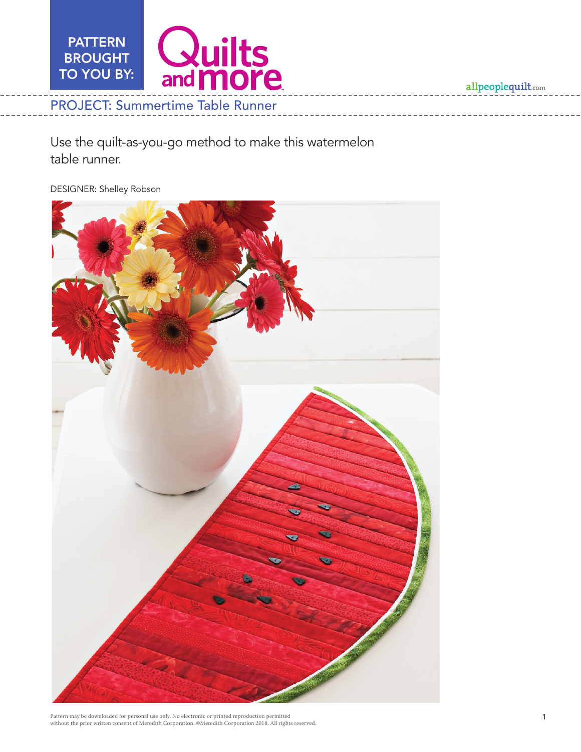

Use the quilt-as-you-go method to make this watermelon table runner.

DESIGNER: Shelley Robson

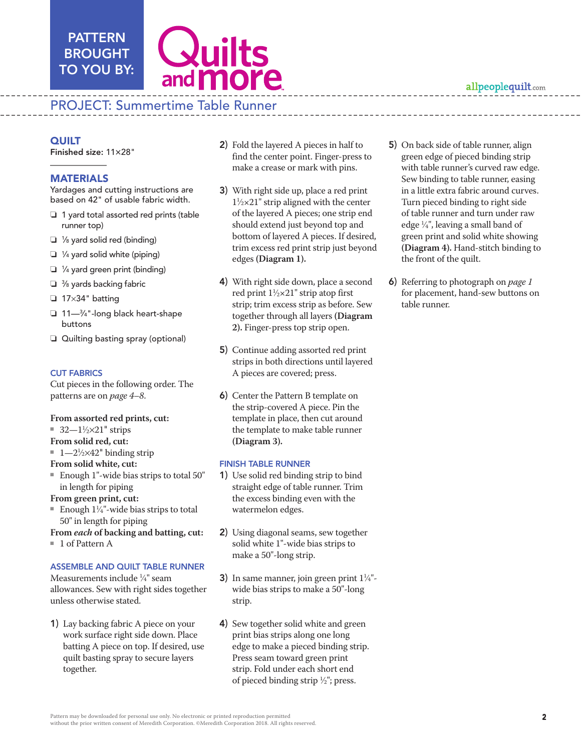

# PROJECT: Summertime Table Runner

### **QUILT**

Finished size: 11×28"

PATTERN **BROUGHT** TO YOU BY:

### MATERIALS

Yardages and cutting instructions are based on 42" of usable fabric width.

- $\Box$  1 yard total assorted red prints (table runner top)
- $\Box$  1/8 yard solid red (binding)
- $\Box$  1/4 yard solid white (piping)
- $\Box$  1/4 yard green print (binding)
- $\Box$   $\frac{3}{8}$  yards backing fabric
- $\Box$  17×34" batting
- □ 11—¾"-long black heart-shape buttons
- $\Box$  Quilting basting spray (optional)

### CUT FABRICS

Cut pieces in the following order. The patterns are on *page 4–8*.

### **From assorted red prints, cut:**

- $\sqrt{32-1\frac{1}{2}} \times 21$ " strips
- **From solid red, cut:**
- $1 2\frac{1}{2} \times 42$ " binding strip
- **From solid white, cut:**
- $\blacksquare$  Enough 1"-wide bias strips to total 50" in length for piping
- **From green print, cut:**
- Enough  $1\frac{1}{4}$ "-wide bias strips to total 50" in length for piping
- **From** *each* **of backing and batting, cut:**
- $\blacksquare$  1 of Pattern A

### ASSEMBLE AND QUILT TABLE RUNNER

Measurements include 1 ⁄4" seam allowances. Sew with right sides together unless otherwise stated.

1) Lay backing fabric A piece on your work surface right side down. Place batting A piece on top. If desired, use quilt basting spray to secure layers together.

- 2) Fold the layered A pieces in half to find the center point. Finger-press to make a crease or mark with pins.
- 3) With right side up, place a red print  $1\frac{1}{2} \times 21$ " strip aligned with the center of the layered A pieces; one strip end should extend just beyond top and bottom of layered A pieces. If desired, trim excess red print strip just beyond edges **(Diagram 1).**
- 4) With right side down, place a second red print  $1\frac{1}{2} \times 21$ " strip atop first strip; trim excess strip as before. Sew together through all layers **(Diagram 2).** Finger-press top strip open.
- 5) Continue adding assorted red print strips in both directions until layered A pieces are covered; press.
- 6) Center the Pattern B template on the strip-covered A piece. Pin the template in place, then cut around the template to make table runner **(Diagram 3).**

### FINISH TABLE RUNNER

- 1) Use solid red binding strip to bind straight edge of table runner. Trim the excess binding even with the watermelon edges.
- 2) Using diagonal seams, sew together solid white 1"-wide bias strips to make a 50"-long strip.
- 3) In same manner, join green print  $1\frac{1}{4}$ "wide bias strips to make a 50"-long strip.
- 4) Sew together solid white and green print bias strips along one long edge to make a pieced binding strip. Press seam toward green print strip. Fold under each short end of pieced binding strip  $\frac{1}{2}$ "; press.
- 5) On back side of table runner, align green edge of pieced binding strip with table runner's curved raw edge. Sew binding to table runner, easing in a little extra fabric around curves. Turn pieced binding to right side of table runner and turn under raw edge 1 ⁄4", leaving a small band of green print and solid white showing **(Diagram 4).** Hand-stitch binding to the front of the quilt.
- 6) Referring to photograph on *page 1* for placement, hand-sew buttons on table runner.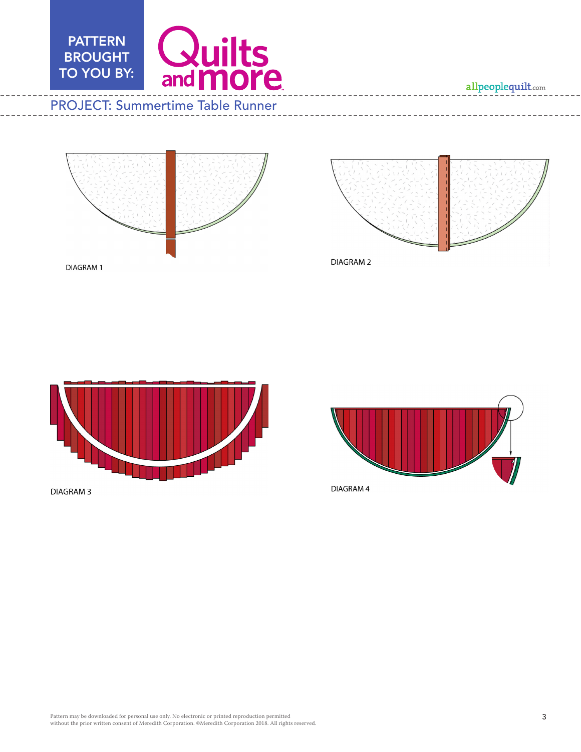





DIAGRAM 2



**DIAGRAM3** 

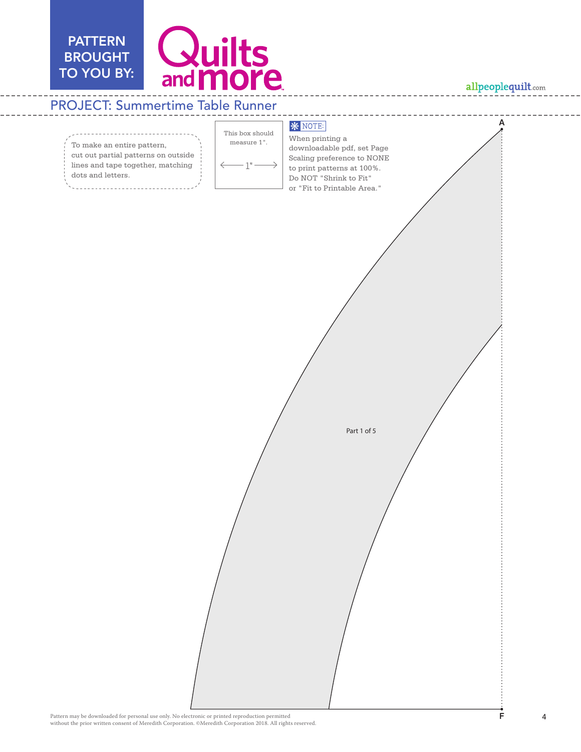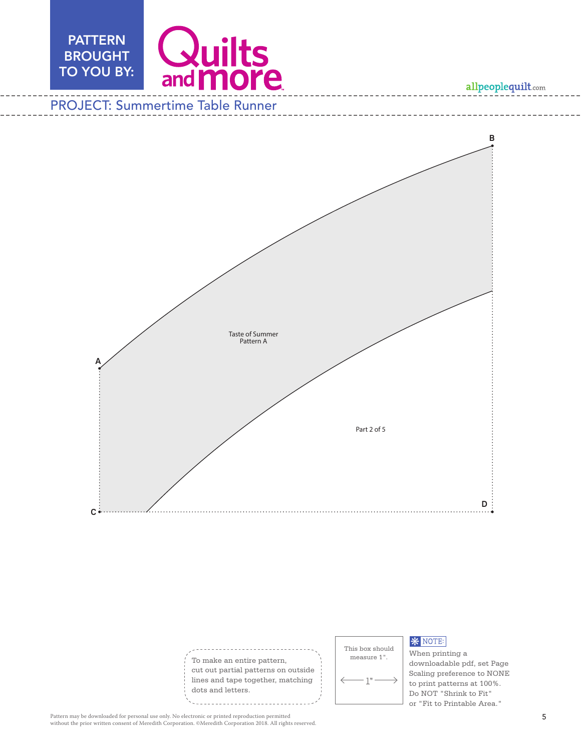**B B**





### **\*** NOTE:

When printing a downloadable pdf, set Page Scaling preference to NONE to print patterns at 100%. Do NOT "Shrink to Fit" or "Fit to Printable Area."

**D D**

Pattern may be downloaded for personal use only. No electronic or printed reproduction permitted without the prior written consent of Meredith Corporation. ©Meredith Corporation 2018. All rights reserved.

**C**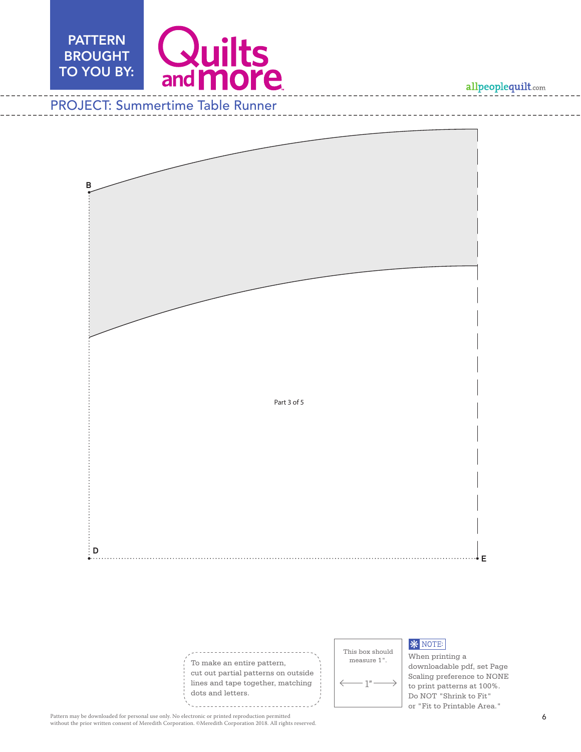

# Fold Fold **B B D D Part 3 of 5**

To make an entire pattern, cut out partial patterns on outside lines and tape together, matching dots and letters.

This box should measure 1".  $1"$ 

# **\*** NOTE:

When printing a downloadable pdf, set Page Scaling preference to NONE to print patterns at 100%. Do NOT "Shrink to Fit" or "Fit to Printable Area."

**E**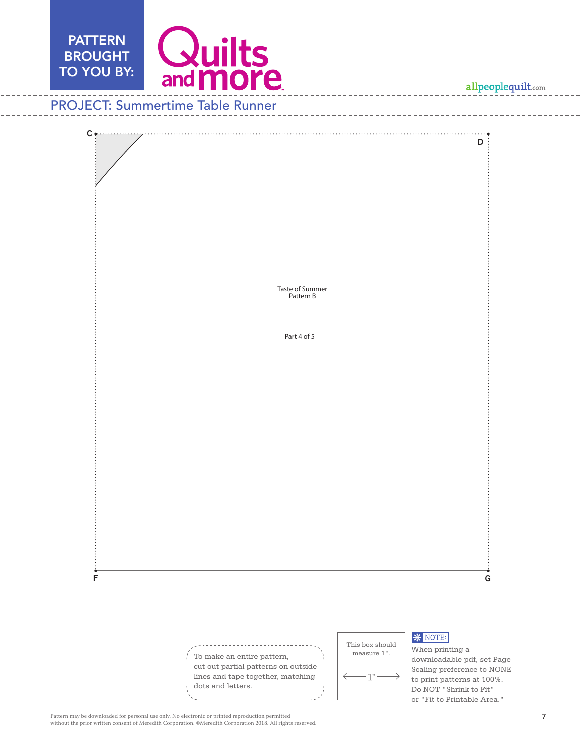



Pattern may be downloaded for personal use only. No electronic or printed reproduction permitted<br>without the prior written consent of Meredith Corporation. ©Meredith Corporation 2018. All rights reserved.

Do NOT "Shrink to Fit" or "Fit to Printable Area."